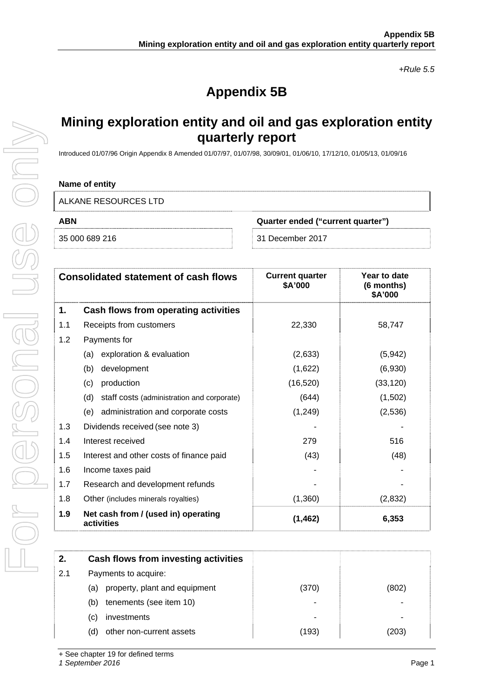*+Rule 5.5* 

# **Appendix 5B**

# **Mining exploration entity and oil and gas exploration entity quarterly report**

Introduced 01/07/96 Origin Appendix 8 Amended 01/07/97, 01/07/98, 30/09/01, 01/06/10, 17/12/10, 01/05/13, 01/09/16

### **Name of entity**

ALKANE RESOURCES LTD

**ABN Quarter ended ("current quarter")** 

35 000 689 216 31 December 2017

| <b>Consolidated statement of cash flows</b> |                                                   | <b>Current quarter</b><br>\$A'000 | Year to date<br>(6 months)<br>\$A'000 |
|---------------------------------------------|---------------------------------------------------|-----------------------------------|---------------------------------------|
| 1.                                          | Cash flows from operating activities              |                                   |                                       |
| 1.1                                         | Receipts from customers                           | 22,330                            | 58,747                                |
| 1.2                                         | Payments for                                      |                                   |                                       |
|                                             | exploration & evaluation<br>(a)                   | (2,633)                           | (5, 942)                              |
|                                             | development<br>(b)                                | (1,622)                           | (6,930)                               |
|                                             | production<br>(c)                                 | (16, 520)                         | (33, 120)                             |
|                                             | (d)<br>staff costs (administration and corporate) | (644)                             | (1,502)                               |
|                                             | (e) administration and corporate costs            | (1,249)                           | (2,536)                               |
| 1.3                                         | Dividends received (see note 3)                   |                                   |                                       |
| 1.4                                         | Interest received                                 | 279                               | 516                                   |
| 1.5                                         | Interest and other costs of finance paid          | (43)                              | (48)                                  |
| 1.6                                         | Income taxes paid                                 |                                   |                                       |
| 1.7                                         | Research and development refunds                  |                                   |                                       |
| 1.8                                         | Other (includes minerals royalties)               | (1,360)                           | (2,832)                               |
| 1.9                                         | Net cash from / (used in) operating<br>activities | (1, 462)                          | 6,353                                 |

| Cash flows from investing activities |       |       |
|--------------------------------------|-------|-------|
| Payments to acquire:                 |       |       |
| property, plant and equipment<br>(a) | (370) | (802) |
| tenements (see item 10)<br>(b)       |       |       |
| investments<br>(C)                   |       | ۰     |
| other non-current assets<br>(d)      | (193) | (203) |
|                                      |       |       |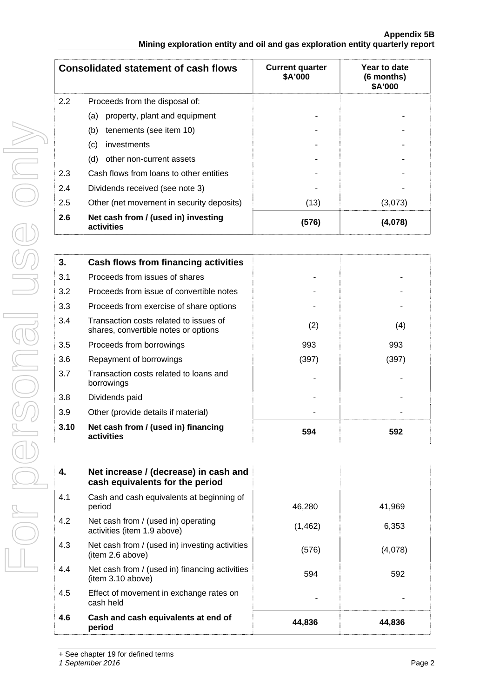| <b>Consolidated statement of cash flows</b> |                                                   | <b>Current quarter</b><br>\$A'000 | Year to date<br>(6 months)<br>\$A'000 |
|---------------------------------------------|---------------------------------------------------|-----------------------------------|---------------------------------------|
| 2.2                                         | Proceeds from the disposal of:                    |                                   |                                       |
|                                             | property, plant and equipment<br>(a)              |                                   |                                       |
|                                             | tenements (see item 10)<br>(b)                    |                                   |                                       |
|                                             | investments<br>(c)                                |                                   |                                       |
|                                             | (d)<br>other non-current assets                   |                                   |                                       |
| 2.3                                         | Cash flows from loans to other entities           |                                   |                                       |
| 2.4                                         | Dividends received (see note 3)                   |                                   |                                       |
| 2.5                                         | Other (net movement in security deposits)         | (13)                              | (3,073)                               |
| 2.6                                         | Net cash from / (used in) investing<br>activities | (576)                             | (4,078)                               |

| 3.   | Cash flows from financing activities                                           |       |       |
|------|--------------------------------------------------------------------------------|-------|-------|
| 3.1  | Proceeds from issues of shares                                                 |       |       |
| 3.2  | Proceeds from issue of convertible notes                                       |       |       |
| 3.3  | Proceeds from exercise of share options                                        |       |       |
| 3.4  | Transaction costs related to issues of<br>shares, convertible notes or options | (2)   | (4)   |
| 3.5  | Proceeds from borrowings                                                       | 993   | 993   |
| 3.6  | Repayment of borrowings                                                        | (397) | (397) |
| 3.7  | Transaction costs related to loans and<br>borrowings                           |       |       |
| 3.8  | Dividends paid                                                                 |       |       |
| 3.9  | Other (provide details if material)                                            |       |       |
| 3.10 | Net cash from / (used in) financing<br>activities                              | 594   | 592   |

| 4.  | Net increase / (decrease) in cash and<br>cash equivalents for the period |          |         |
|-----|--------------------------------------------------------------------------|----------|---------|
| 4.1 | Cash and cash equivalents at beginning of<br>period                      | 46,280   | 41,969  |
| 4.2 | Net cash from / (used in) operating<br>activities (item 1.9 above)       | (1, 462) | 6,353   |
| 4.3 | Net cash from / (used in) investing activities<br>(item 2.6 above)       | (576)    | (4,078) |
| 4.4 | Net cash from / (used in) financing activities<br>(item 3.10 above)      | 594      | 592     |
| 4.5 | Effect of movement in exchange rates on<br>cash held                     |          |         |
| 4.6 | Cash and cash equivalents at end of<br>period                            | 44,836   | 44,836  |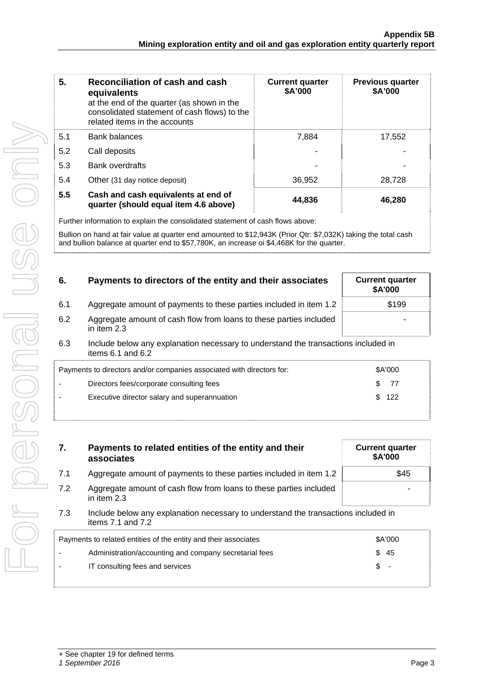| 5.  | Reconciliation of cash and cash<br>equivalents<br>at the end of the quarter (as shown in the<br>consolidated statement of cash flows) to the<br>related items in the accounts | <b>Current quarter</b><br>\$A'000 | <b>Previous quarter</b><br>\$A'000 |
|-----|-------------------------------------------------------------------------------------------------------------------------------------------------------------------------------|-----------------------------------|------------------------------------|
| 5.1 | <b>Bank balances</b>                                                                                                                                                          | 7.884                             | 17,552                             |
| 5.2 | Call deposits                                                                                                                                                                 |                                   |                                    |
| 5.3 | <b>Bank overdrafts</b>                                                                                                                                                        |                                   |                                    |
| 5.4 | Other (31 day notice deposit)                                                                                                                                                 | 36,952                            | 28.728                             |
| 5.5 | Cash and cash equivalents at end of<br>quarter (should equal item 4.6 above)                                                                                                  | 44,836                            | 46,280                             |

Further information to explain the consolidated statement of cash flows above:

Bullion on hand at fair value at quarter end amounted to \$12,943K (Prior Qtr: \$7,032K) taking the total cash and bullion balance at quarter end to \$57,780K, an increase oi \$4,468K for the quarter.

| 6.  | Payments to directors of the entity and their associates                          | <b>Current quarter</b><br>\$A'000 |
|-----|-----------------------------------------------------------------------------------|-----------------------------------|
| 6.1 | Aggregate amount of payments to these parties included in item 1.2                | \$199                             |
| 6.2 | Aggregate amount of cash flow from loans to these parties included<br>in item 2.3 |                                   |

6.3 Include below any explanation necessary to understand the transactions included in items 6.1 and 6.2

| Payments to directors and/or companies associated with directors for: | \$A'000          |  |
|-----------------------------------------------------------------------|------------------|--|
| Directors fees/corporate consulting fees                              | $\frac{1}{2}$ 77 |  |
| Executive director salary and superannuation                          | \$122            |  |
|                                                                       |                  |  |

| Payments to related entities of the entity and their<br>7.<br>associates                                           |                                                                    | <b>Current quarter</b><br>\$A'000 |  |
|--------------------------------------------------------------------------------------------------------------------|--------------------------------------------------------------------|-----------------------------------|--|
| 7.1                                                                                                                | Aggregate amount of payments to these parties included in item 1.2 | \$45                              |  |
| 7.2<br>Aggregate amount of cash flow from loans to these parties included<br>in item 2.3                           |                                                                    |                                   |  |
| 7.3<br>Include below any explanation necessary to understand the transactions included in<br>items $7.1$ and $7.2$ |                                                                    |                                   |  |
|                                                                                                                    | Payments to related entities of the entity and their associates    | \$A'000                           |  |
|                                                                                                                    | Administration/accounting and company secretarial fees             | \$<br>-45                         |  |
|                                                                                                                    | IT consulting fees and services                                    | \$                                |  |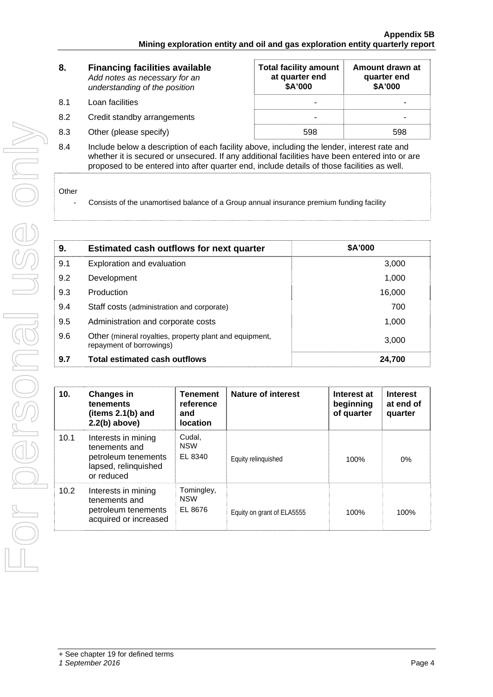| 8.<br><b>Financing facilities available</b><br>Add notes as necessary for an<br>understanding of the position |                             | <b>Total facility amount</b><br>at quarter end<br>\$A'000 | Amount drawn at<br>quarter end<br>\$A'000 |
|---------------------------------------------------------------------------------------------------------------|-----------------------------|-----------------------------------------------------------|-------------------------------------------|
| 8.1                                                                                                           | Loan facilities             |                                                           |                                           |
| 8.2                                                                                                           | Credit standby arrangements |                                                           |                                           |
| 8.3                                                                                                           | Other (please specify)      | 598                                                       | 598                                       |
| $\sim$ $\sim$                                                                                                 |                             |                                                           |                                           |

8.4 Include below a description of each facility above, including the lender, interest rate and whether it is secured or unsecured. If any additional facilities have been entered into or are proposed to be entered into after quarter end, include details of those facilities as well.

#### Other

- Consists of the unamortised balance of a Group annual insurance premium funding facility

| 9.  | <b>Estimated cash outflows for next quarter</b>                                              | \$A'000 |
|-----|----------------------------------------------------------------------------------------------|---------|
| 9.1 | Exploration and evaluation                                                                   | 3,000   |
| 9.2 | Development                                                                                  | 1,000   |
| 9.3 | Production                                                                                   | 16,000  |
| 9.4 | Staff costs (administration and corporate)                                                   | 700     |
| 9.5 | Administration and corporate costs                                                           | 1,000   |
| 9.6 | Other (mineral royalties, property plant and equipment,<br>3,000<br>repayment of borrowings) |         |
| 9.7 | <b>Total estimated cash outflows</b>                                                         | 24,700  |

| 10.  | <b>Changes in</b><br>tenements<br>(items 2.1(b) and<br>$2.2(b)$ above)                            | Tenement<br>reference<br>and<br><b>location</b> | Nature of interest         | Interest at<br>beginning<br>of quarter | <b>Interest</b><br>at end of<br>quarter |
|------|---------------------------------------------------------------------------------------------------|-------------------------------------------------|----------------------------|----------------------------------------|-----------------------------------------|
| 10.1 | Interests in mining<br>tenements and<br>petroleum tenements<br>lapsed, relinquished<br>or reduced | Cudal,<br><b>NSW</b><br>EL 8340                 | Equity relinguished        | 100%                                   | 0%                                      |
| 10.2 | Interests in mining<br>tenements and<br>petroleum tenements<br>acquired or increased              | Tomingley,<br><b>NSW</b><br>EL 8676             | Equity on grant of ELA5555 | 100%                                   | 100%                                    |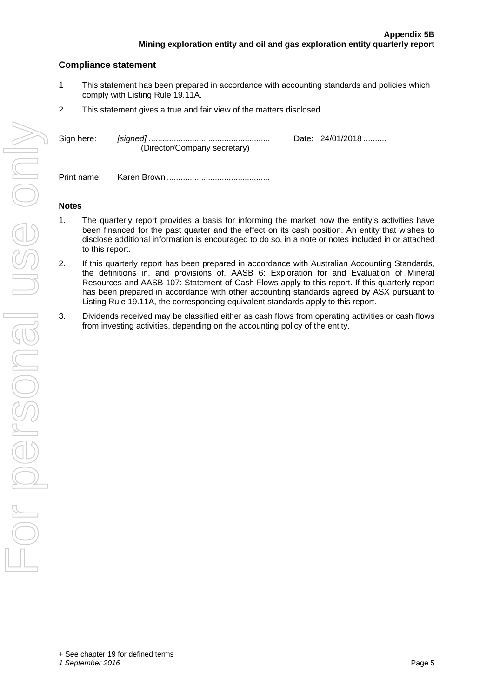# **Compliance statement**

- 1 This statement has been prepared in accordance with accounting standards and policies which comply with Listing Rule 19.11A.
- 2 This statement gives a true and fair view of the matters disclosed.

| Sign here: | (Director/Company secretary) | Date: 24/01/2018 |
|------------|------------------------------|------------------|
|            |                              |                  |

Print name: Karen Brown .............................................

## **Notes**

- 1. The quarterly report provides a basis for informing the market how the entity's activities have been financed for the past quarter and the effect on its cash position. An entity that wishes to disclose additional information is encouraged to do so, in a note or notes included in or attached to this report.
- 2. If this quarterly report has been prepared in accordance with Australian Accounting Standards, the definitions in, and provisions of, AASB 6: Exploration for and Evaluation of Mineral Resources and AASB 107: Statement of Cash Flows apply to this report. If this quarterly report has been prepared in accordance with other accounting standards agreed by ASX pursuant to Listing Rule 19.11A, the corresponding equivalent standards apply to this report.
- 3. Dividends received may be classified either as cash flows from operating activities or cash flows from investing activities, depending on the accounting policy of the entity.